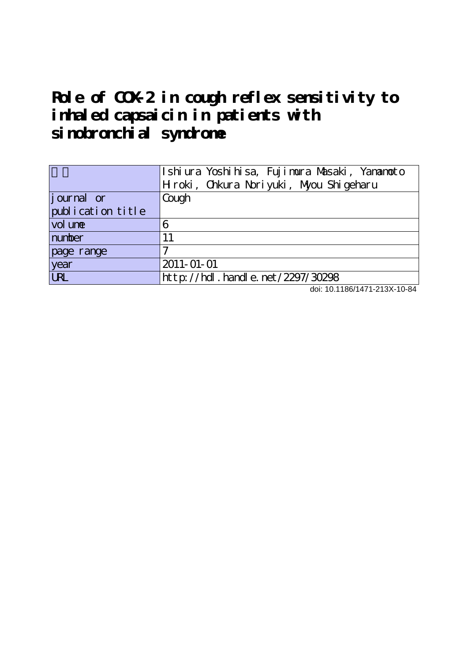## **Role of COX-2 in cough reflex sensitivity to inhaled capsaicin in patients with sinobronchial syndrome**

|                   | Ishiura Yoshihisa, Fujimura Masaki, Yanamoto<br>Hroki, Chkura Noriyuki, Myou Shigeharu |  |  |  |
|-------------------|----------------------------------------------------------------------------------------|--|--|--|
| journal or        | Cough                                                                                  |  |  |  |
| publication title |                                                                                        |  |  |  |
| vol une           | 6                                                                                      |  |  |  |
| number            | 11                                                                                     |  |  |  |
| page range        |                                                                                        |  |  |  |
| year              | 2011-01-01                                                                             |  |  |  |
| <b>URL</b>        | http://hdl.handle.net/2297/30298                                                       |  |  |  |

doi: 10.1186/1471-213X-10-84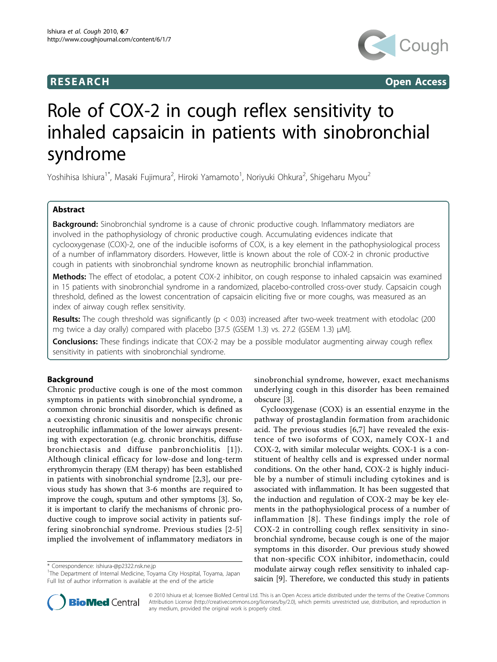## **RESEARCH CONSTRUCTER CONSTRUCTS**



# Role of COX-2 in cough reflex sensitivity to inhaled capsaicin in patients with sinobronchial syndrome

Yoshihisa Ishiura $^{1^*}$ , Masaki Fujimura $^2$ , Hiroki Yamamoto $^1$ , Noriyuki Ohkura $^2$ , Shigeharu Myou $^2$ 

## Abstract

Background: Sinobronchial syndrome is a cause of chronic productive cough. Inflammatory mediators are involved in the pathophysiology of chronic productive cough. Accumulating evidences indicate that cyclooxygenase (COX)-2, one of the inducible isoforms of COX, is a key element in the pathophysiological process of a number of inflammatory disorders. However, little is known about the role of COX-2 in chronic productive cough in patients with sinobronchial syndrome known as neutrophilic bronchial inflammation.

Methods: The effect of etodolac, a potent COX-2 inhibitor, on cough response to inhaled capsaicin was examined in 15 patients with sinobronchial syndrome in a randomized, placebo-controlled cross-over study. Capsaicin cough threshold, defined as the lowest concentration of capsaicin eliciting five or more coughs, was measured as an index of airway cough reflex sensitivity.

**Results:** The cough threshold was significantly ( $p < 0.03$ ) increased after two-week treatment with etodolac (200 mg twice a day orally) compared with placebo [37.5 (GSEM 1.3) vs. 27.2 (GSEM 1.3)  $\mu$ M].

**Conclusions:** These findings indicate that COX-2 may be a possible modulator augmenting airway cough reflex sensitivity in patients with sinobronchial syndrome.

## Background

Chronic productive cough is one of the most common symptoms in patients with sinobronchial syndrome, a common chronic bronchial disorder, which is defined as a coexisting chronic sinusitis and nonspecific chronic neutrophilic inflammation of the lower airways presenting with expectoration (e.g. chronic bronchitis, diffuse bronchiectasis and diffuse panbronchiolitis [[1](#page-4-0)]). Although clinical efficacy for low-dose and long-term erythromycin therapy (EM therapy) has been established in patients with sinobronchial syndrome [\[2](#page-4-0),[3\]](#page-4-0), our previous study has shown that 3-6 months are required to improve the cough, sputum and other symptoms [[3\]](#page-4-0). So, it is important to clarify the mechanisms of chronic productive cough to improve social activity in patients suffering sinobronchial syndrome. Previous studies [[2](#page-4-0)-[5](#page-4-0)] implied the involvement of inflammatory mediators in

\* Correspondence: [ishiura-@p2322.nsk.ne.jp](mailto:ishiura-@p2322.nsk.ne.jp)



Cyclooxygenase (COX) is an essential enzyme in the pathway of prostaglandin formation from arachidonic acid. The previous studies [[6,7\]](#page-4-0) have revealed the existence of two isoforms of COX, namely COX-1 and COX-2, with similar molecular weights. COX-1 is a constituent of healthy cells and is expressed under normal conditions. On the other hand, COX-2 is highly inducible by a number of stimuli including cytokines and is associated with inflammation. It has been suggested that the induction and regulation of COX-2 may be key elements in the pathophysiological process of a number of inflammation [[8](#page-4-0)]. These findings imply the role of COX-2 in controlling cough reflex sensitivity in sinobronchial syndrome, because cough is one of the major symptoms in this disorder. Our previous study showed that non-specific COX inhibitor, indomethacin, could modulate airway cough reflex sensitivity to inhaled capsaicin [\[9\]](#page-4-0). Therefore, we conducted this study in patients



© 2010 Ishiura et al; licensee BioMed Central Ltd. This is an Open Access article distributed under the terms of the Creative Commons Attribution License [\(http://creativecommons.org/licenses/by/2.0](http://creativecommons.org/licenses/by/2.0)), which permits unrestricted use, distribution, and reproduction in any medium, provided the original work is properly cited.

<sup>&</sup>lt;sup>1</sup>The Department of Internal Medicine, Toyama City Hospital, Toyama, Japan Full list of author information is available at the end of the article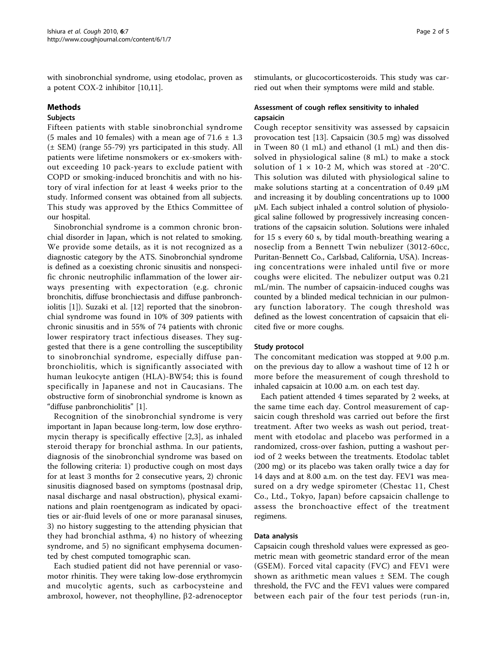with sinobronchial syndrome, using etodolac, proven as a potent COX-2 inhibitor [\[10,11\]](#page-4-0).

#### Methods

## Subjects

Fifteen patients with stable sinobronchial syndrome (5 males and 10 females) with a mean age of  $71.6 \pm 1.3$ (± SEM) (range 55-79) yrs participated in this study. All patients were lifetime nonsmokers or ex-smokers without exceeding 10 pack-years to exclude patient with COPD or smoking-induced bronchitis and with no history of viral infection for at least 4 weeks prior to the study. Informed consent was obtained from all subjects. This study was approved by the Ethics Committee of our hospital.

Sinobronchial syndrome is a common chronic bronchial disorder in Japan, which is not related to smoking. We provide some details, as it is not recognized as a diagnostic category by the ATS. Sinobronchial syndrome is defined as a coexisting chronic sinusitis and nonspecific chronic neutrophilic inflammation of the lower airways presenting with expectoration (e.g. chronic bronchitis, diffuse bronchiectasis and diffuse panbronchiolitis [[1\]](#page-4-0)). Suzaki et al. [[12\]](#page-4-0) reported that the sinobronchial syndrome was found in 10% of 309 patients with chronic sinusitis and in 55% of 74 patients with chronic lower respiratory tract infectious diseases. They suggested that there is a gene controlling the susceptibility to sinobronchial syndrome, especially diffuse panbronchiolitis, which is significantly associated with human leukocyte antigen (HLA)-BW54; this is found specifically in Japanese and not in Caucasians. The obstructive form of sinobronchial syndrome is known as "diffuse panbronchiolitis" [\[1](#page-4-0)].

Recognition of the sinobronchial syndrome is very important in Japan because long-term, low dose erythromycin therapy is specifically effective [[2](#page-4-0),[3\]](#page-4-0), as inhaled steroid therapy for bronchial asthma. In our patients, diagnosis of the sinobronchial syndrome was based on the following criteria: 1) productive cough on most days for at least 3 months for 2 consecutive years, 2) chronic sinusitis diagnosed based on symptoms (postnasal drip, nasal discharge and nasal obstruction), physical examinations and plain roentgenogram as indicated by opacities or air-fluid levels of one or more paranasal sinuses, 3) no history suggesting to the attending physician that they had bronchial asthma, 4) no history of wheezing syndrome, and 5) no significant emphysema documented by chest computed tomographic scan.

Each studied patient did not have perennial or vasomotor rhinitis. They were taking low-dose erythromycin and mucolytic agents, such as carbocysteine and ambroxol, however, not theophylline,  $\beta$ 2-adrenoceptor stimulants, or glucocorticosteroids. This study was carried out when their symptoms were mild and stable.

### Assessment of cough reflex sensitivity to inhaled capsaicin

Cough receptor sensitivity was assessed by capsaicin provocation test [\[13](#page-5-0)]. Capsaicin (30.5 mg) was dissolved in Tween 80 (1 mL) and ethanol (1 mL) and then dissolved in physiological saline (8 mL) to make a stock solution of  $1 \times 10$ -2 M, which was stored at -20°C. This solution was diluted with physiological saline to make solutions starting at a concentration of 0.49  $\mu$ M and increasing it by doubling concentrations up to 1000 μM. Each subject inhaled a control solution of physiological saline followed by progressively increasing concentrations of the capsaicin solution. Solutions were inhaled for 15 s every 60 s, by tidal mouth-breathing wearing a noseclip from a Bennett Twin nebulizer (3012-60cc, Puritan-Bennett Co., Carlsbad, California, USA). Increasing concentrations were inhaled until five or more coughs were elicited. The nebulizer output was 0.21 mL/min. The number of capsaicin-induced coughs was counted by a blinded medical technician in our pulmonary function laboratory. The cough threshold was defined as the lowest concentration of capsaicin that elicited five or more coughs.

#### Study protocol

The concomitant medication was stopped at 9.00 p.m. on the previous day to allow a washout time of 12 h or more before the measurement of cough threshold to inhaled capsaicin at 10.00 a.m. on each test day.

Each patient attended 4 times separated by 2 weeks, at the same time each day. Control measurement of capsaicin cough threshold was carried out before the first treatment. After two weeks as wash out period, treatment with etodolac and placebo was performed in a randomized, cross-over fashion, putting a washout period of 2 weeks between the treatments. Etodolac tablet (200 mg) or its placebo was taken orally twice a day for 14 days and at 8.00 a.m. on the test day. FEV1 was measured on a dry wedge spirometer (Chestac 11, Chest Co., Ltd., Tokyo, Japan) before capsaicin challenge to assess the bronchoactive effect of the treatment regimens.

### Data analysis

Capsaicin cough threshold values were expressed as geometric mean with geometric standard error of the mean (GSEM). Forced vital capacity (FVC) and FEV1 were shown as arithmetic mean values  $\pm$  SEM. The cough threshold, the FVC and the FEV1 values were compared between each pair of the four test periods (run-in,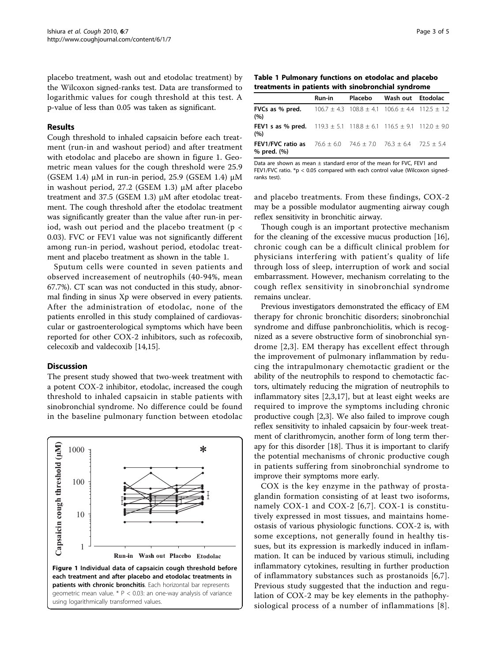placebo treatment, wash out and etodolac treatment) by the Wilcoxon signed-ranks test. Data are transformed to logarithmic values for cough threshold at this test. A p-value of less than 0.05 was taken as significant.

#### Results

Cough threshold to inhaled capsaicin before each treatment (run-in and washout period) and after treatment with etodolac and placebo are shown in figure 1. Geometric mean values for the cough threshold were 25.9 (GSEM 1.4) μM in run-in period, 25.9 (GSEM 1.4) μM in washout period, 27.2 (GSEM 1.3) μM after placebo treatment and 37.5 (GSEM 1.3) μM after etodolac treatment. The cough threshold after the etodolac treatment was significantly greater than the value after run-in period, wash out period and the placebo treatment ( $p <$ 0.03). FVC or FEV1 value was not significantly different among run-in period, washout period, etodolac treatment and placebo treatment as shown in the table 1.

Sputum cells were counted in seven patients and observed increasement of neutrophils (40-94%, mean 67.7%). CT scan was not conducted in this study, abnormal finding in sinus Xp were observed in every patients. After the administration of etodolac, none of the patients enrolled in this study complained of cardiovascular or gastroenterological symptoms which have been reported for other COX-2 inhibitors, such as rofecoxib, celecoxib and valdecoxib [[14,15\]](#page-5-0).

#### **Discussion**

The present study showed that two-week treatment with a potent COX-2 inhibitor, etodolac, increased the cough threshold to inhaled capsaicin in stable patients with sinobronchial syndrome. No difference could be found in the baseline pulmonary function between etodolac



Table 1 Pulmonary functions on etodolac and placebo

| treatments in patients with sinobronchial syndrome                                                  |        |  |                           |  |  |
|-----------------------------------------------------------------------------------------------------|--------|--|---------------------------|--|--|
|                                                                                                     | Run-in |  | Placebo Wash out Etodolac |  |  |
| <b>FVCs as % pred.</b> $106.7 \pm 4.3$ $108.8 \pm 4.1$ $106.6 \pm 4.4$ $112.5 \pm 1.2$<br>(%)       |        |  |                           |  |  |
| <b>FEV1 s as % pred.</b> $119.3 \pm 5.1$ $118.8 \pm 6.1$ $116.5 \pm 9.1$ $112.0 \pm 9.0$<br>(%)     |        |  |                           |  |  |
| <b>FEV1/FVC ratio as</b> $76.6 \pm 6.0$ $74.6 \pm 7.0$ $76.3 \pm 6.4$ $72.5 \pm 5.4$<br>% pred. (%) |        |  |                           |  |  |

Data are shown as mean ± standard error of the mean for FVC, FEV1 and FEV1/FVC ratio. \*p < 0.05 compared with each control value (Wilcoxon signedranks test).

and placebo treatments. From these findings, COX-2 may be a possible modulator augmenting airway cough reflex sensitivity in bronchitic airway.

Though cough is an important protective mechanism for the cleaning of the excessive mucus production [\[16](#page-5-0)], chronic cough can be a difficult clinical problem for physicians interfering with patient's quality of life through loss of sleep, interruption of work and social embarrassment. However, mechanism correlating to the cough reflex sensitivity in sinobronchial syndrome remains unclear.

Previous investigators demonstrated the efficacy of EM therapy for chronic bronchitic disorders; sinobronchial syndrome and diffuse panbronchiolitis, which is recognized as a severe obstructive form of sinobronchial syndrome [[2,3\]](#page-4-0). EM therapy has excellent effect through the improvement of pulmonary inflammation by reducing the intrapulmonary chemotactic gradient or the ability of the neutrophils to respond to chemotactic factors, ultimately reducing the migration of neutrophils to inflammatory sites [\[2](#page-4-0),[3](#page-4-0),[17\]](#page-5-0), but at least eight weeks are required to improve the symptoms including chronic productive cough [[2,3\]](#page-4-0). We also failed to improve cough reflex sensitivity to inhaled capsaicin by four-week treatment of clarithromycin, another form of long term therapy for this disorder [[18\]](#page-5-0). Thus it is important to clarify the potential mechanisms of chronic productive cough in patients suffering from sinobronchial syndrome to improve their symptoms more early.

COX is the key enzyme in the pathway of prostaglandin formation consisting of at least two isoforms, namely COX-1 and COX-2 [[6](#page-4-0),[7\]](#page-4-0). COX-1 is constitutively expressed in most tissues, and maintains homeostasis of various physiologic functions. COX-2 is, with some exceptions, not generally found in healthy tissues, but its expression is markedly induced in inflammation. It can be induced by various stimuli, including inflammatory cytokines, resulting in further production of inflammatory substances such as prostanoids [\[6](#page-4-0),[7](#page-4-0)]. Previous study suggested that the induction and regulation of COX-2 may be key elements in the pathophysiological process of a number of inflammations [[8\]](#page-4-0).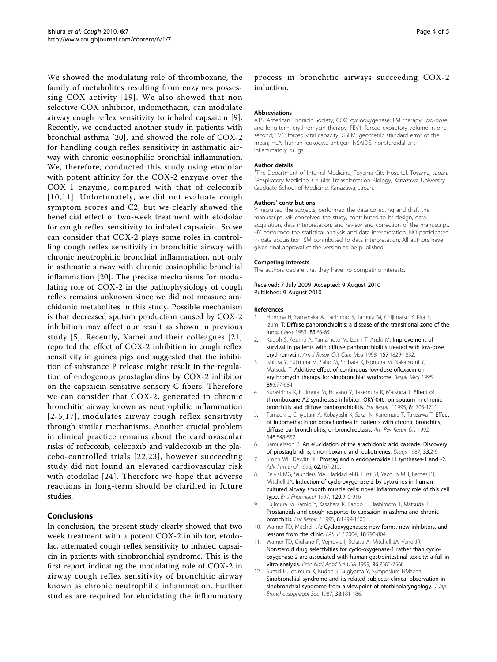<span id="page-4-0"></span>We showed the modulating role of thromboxane, the family of metabolites resulting from enzymes possessing COX activity [[19](#page-5-0)]. We also showed that non selective COX inhibitor, indomethacin, can modulate airway cough reflex sensitivity to inhaled capsaicin [9]. Recently, we conducted another study in patients with bronchial asthma [[20\]](#page-5-0), and showed the role of COX-2 for handling cough reflex sensitivity in asthmatic airway with chronic eosinophilic bronchial inflammation. We, therefore, conducted this study using etodolac with potent affinity for the COX-2 enzyme over the COX-1 enzyme, compared with that of celecoxib [10,11]. Unfortunately, we did not evaluate cough symptom scores and C2, but we clearly showed the beneficial effect of two-week treatment with etodolac for cough reflex sensitivity to inhaled capsaicin. So we can consider that COX-2 plays some roles in controlling cough reflex sensitivity in bronchitic airway with chronic neutrophilic bronchial inflammation, not only in asthmatic airway with chronic eosinophilic bronchial inflammation [[20\]](#page-5-0). The precise mechanisms for modulating role of COX-2 in the pathophysiology of cough reflex remains unknown since we did not measure arachidonic metabolites in this study. Possible mechanism is that decreased sputum production caused by COX-2 inhibition may affect our result as shown in previous study [5]. Recently, Kamei and their colleagues [[21](#page-5-0)] reported the effect of COX-2 inhibition in cough reflex sensitivity in guinea pigs and suggested that the inhibition of substance P release might result in the regulation of endogenous prostaglandins by COX-2 inhibitor on the capsaicin-sensitive sensory C-fibers. Therefore we can consider that COX-2, generated in chronic bronchitic airway known as neutrophilic inflammation [2-5,[17](#page-5-0)], modulates airway cough reflex sensitivity through similar mechanisms. Another crucial problem in clinical practice remains about the cardiovascular risks of rofecoxib, celecoxib and valdecoxib in the placebo-controlled trials [[22](#page-5-0),[23\]](#page-5-0), however succeeding study did not found an elevated cardiovascular risk with etodolac [\[24](#page-5-0)]. Therefore we hope that adverse reactions in long-term should be clarified in future studies.

## Conclusions

In conclusion, the present study clearly showed that two week treatment with a potent COX-2 inhibitor, etodolac, attenuated cough reflex sensitivity to inhaled capsaicin in patients with sinobronchial syndrome. This is the first report indicating the modulating role of COX-2 in airway cough reflex sensitivity of bronchitic airway known as chronic neutrophilic inflammation. Further studies are required for elucidating the inflammatory

process in bronchitic airways succeeding COX-2 induction.

#### Abbreviations

ATS: American Thoracic Society; COX: cyclooxygenase; EM therapy: low-dose and long-term erythromycin therapy; FEV1: forced expiratory volume in one second; FVC: forced vital capacity; GSEM: geometric standard error of the mean; HLA: human leukocyte antigen; NSAIDS: nonsteroidal antiinflammatory drugs.

#### Author details

<sup>1</sup>The Department of Internal Medicine, Toyama City Hospital, Toyama, Japan. <sup>2</sup> Respiratory Medicine, Cellular Transplantation Biology, Kanazawa University Graduate School of Medicine, Kanazawa, Japan.

#### Authors' contributions

YI recruited the subjects, performed the data collecting and draft the manuscript. MF conceived the study, contributed to its design, data acquisition, data interpretation, and review and correction of the manuscript. HY performed the statistical analysis and data interpretation. NO participated in data acquisition. SM contributed to data interpretation. All authors have given final approval of the version to be published.

#### Competing interests

The authors declare that they have no competing interests.

#### Received: 7 July 2009 Accepted: 9 August 2010 Published: 9 August 2010

#### References

- 1. Homma H, Yamanaka A, Tanimoto S, Tamura M, Chijimatsu Y, Kira S, Izumi T: [Diffuse panbronchiolitis; a disease of the transitional zone of the](http://www.ncbi.nlm.nih.gov/pubmed/6848335?dopt=Abstract) [lung.](http://www.ncbi.nlm.nih.gov/pubmed/6848335?dopt=Abstract) Chest 1983, 83:63-69.
- 2. Kudoh S, Azuma A, Yamamoto M, Izumi T, Ando M: [Improvement of](http://www.ncbi.nlm.nih.gov/pubmed/9620913?dopt=Abstract) [survival in patients with diffuse panbronchiolitis treated with low-dose](http://www.ncbi.nlm.nih.gov/pubmed/9620913?dopt=Abstract) [erythromycin.](http://www.ncbi.nlm.nih.gov/pubmed/9620913?dopt=Abstract) Am J Respir Crit Care Med 1998, 157:1829-1832.
- 3. Ishiura Y, Fujimura M, Saito M, Shibata K, Nomura M, Nakatsumi Y, Matsuda T: [Additive effect of continuous low-dose ofloxacin on](http://www.ncbi.nlm.nih.gov/pubmed/8570882?dopt=Abstract) [erythromycin therapy for sinobronchial syndrome.](http://www.ncbi.nlm.nih.gov/pubmed/8570882?dopt=Abstract) Respir Med 1995, 89:677-684.
- 4. Kurashima K, Fujimura M, Hoyano Y, Takemura K, Matsuda T: [Effect of](http://www.ncbi.nlm.nih.gov/pubmed/8586126?dopt=Abstract) [thromboxane A2 synthetase inhibitor, OKY-046, on sputum in chronic](http://www.ncbi.nlm.nih.gov/pubmed/8586126?dopt=Abstract) [bronchitis and diffuse panbronchiolitis.](http://www.ncbi.nlm.nih.gov/pubmed/8586126?dopt=Abstract) Eur Respir J 1995, 8:1705-1711.
- 5. Tamaoki J, Chiyotani A, Kobayashi K, Sakai N, Kanemura T, Takizawa T: [Effect](http://www.ncbi.nlm.nih.gov/pubmed/1546834?dopt=Abstract) [of indomethacin on bronchorrhea in patients with chronic bronchitis,](http://www.ncbi.nlm.nih.gov/pubmed/1546834?dopt=Abstract) [diffuse panbronchiolitis, or bronchiectasis.](http://www.ncbi.nlm.nih.gov/pubmed/1546834?dopt=Abstract) Am Rev Respir Dis 1992, 145:548-552.
- 6. Samuelsson B: [An elucidation of the arachidonic acid cascade. Discovery](http://www.ncbi.nlm.nih.gov/pubmed/3036460?dopt=Abstract) [of prostaglandins, thromboxane and leukotrienes.](http://www.ncbi.nlm.nih.gov/pubmed/3036460?dopt=Abstract) Drugs 1987, 33:2-9.
- 7. Smith WL, Dewitt DL: [Prostaglandin endoperoxide H synthases-1 and -2.](http://www.ncbi.nlm.nih.gov/pubmed/8781269?dopt=Abstract) Adv Immunol 1996, 62:167-215.
- 8. Belvisi MG, Saunders MA, Haddad el-B, Hirst SJ, Yacoub MH, Barnes PJ, Mitchell JA: [Induction of cyclo-oxygenase-2 by cytokines in human](http://www.ncbi.nlm.nih.gov/pubmed/9138698?dopt=Abstract) [cultured airway smooth muscle cells: novel inflammatory role of this cell](http://www.ncbi.nlm.nih.gov/pubmed/9138698?dopt=Abstract) [type.](http://www.ncbi.nlm.nih.gov/pubmed/9138698?dopt=Abstract) Br J Pharmacol 1997, 120:910-916.
- 9. Fujimura M, Kamio Y, Kasahara K, Bando T, Hashimoto T, Matsuda T: [Prostanoids and cough response to capsaicin in asthma and chronic](http://www.ncbi.nlm.nih.gov/pubmed/8575575?dopt=Abstract) [bronchitis.](http://www.ncbi.nlm.nih.gov/pubmed/8575575?dopt=Abstract) Eur Respir J 1995. 8:1499-1505.
- 10. Warner TD, Mitchell JA: [Cyclooxygenases: new forms, new inhibitors, and](http://www.ncbi.nlm.nih.gov/pubmed/15117884?dopt=Abstract) [lessons from the clinic.](http://www.ncbi.nlm.nih.gov/pubmed/15117884?dopt=Abstract) FASEB J 2004, 18:790-804.
- 11. Warner TD, Giuliano F, Vojnovic I, Bukasa A, Mitchell JA, Vane JR: [Nonsteroid drug selectivities for cyclo-oxygenase-1 rather than cyclo](http://www.ncbi.nlm.nih.gov/pubmed/10377455?dopt=Abstract)[oxygenase-2 are associated with human gastrointestinal toxicity: a full in](http://www.ncbi.nlm.nih.gov/pubmed/10377455?dopt=Abstract) [vitro analysis.](http://www.ncbi.nlm.nih.gov/pubmed/10377455?dopt=Abstract) Proc Natl Acad Sci USA 1999, 96:7563-7568.
- 12. Suzaki H, Ichimura K, Kudoh S, Sugiyama Y, Symposium HMaeda II: Sinobronchial syndrome and its related subjects: clinical observation in sinobronchial syndrome from a viewpoint of otorhinolaryngology. J Jap Bronchoesophagol Soc 1987, 38:181-186.